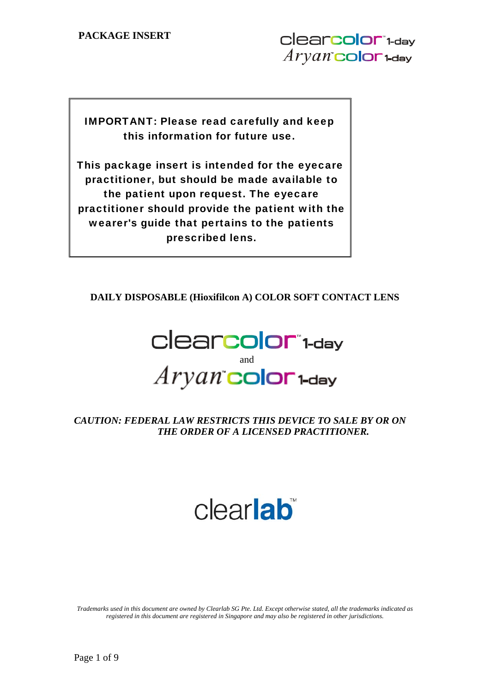IMPORTANT: Please read carefully and keep this information for future use.

This package insert is intended for the eyecare practitioner, but should be made available to the patient upon request. The eyecare practitioner should provide the patient with the wearer's guide that pertains to the patients prescribed lens.

**DAILY DISPOSABLE (Hioxifilcon A) COLOR SOFT CONTACT LENS** 



# *CAUTION: FEDERAL LAW RESTRICTS THIS DEVICE TO SALE BY OR ON THE ORDER OF A LICENSED PRACTITIONER.*

# clearlab

*Trademarks used in this document are owned by Clearlab SG Pte. Ltd. Except otherwise stated, all the trademarks indicated as registered in this document are registered in Singapore and may also be registered in other jurisdictions.*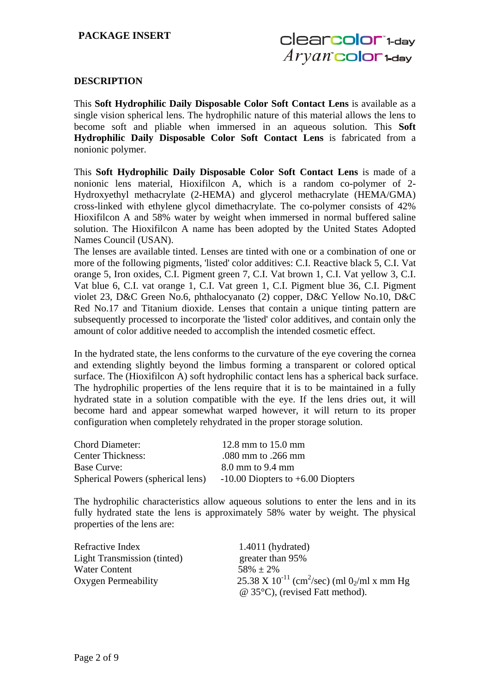# **DESCRIPTION**

This **Soft Hydrophilic Daily Disposable Color Soft Contact Lens** is available as a single vision spherical lens. The hydrophilic nature of this material allows the lens to become soft and pliable when immersed in an aqueous solution. This **Soft Hydrophilic Daily Disposable Color Soft Contact Lens** is fabricated from a nonionic polymer.

This **Soft Hydrophilic Daily Disposable Color Soft Contact Lens** is made of a nonionic lens material, Hioxifilcon A, which is a random co-polymer of 2- Hydroxyethyl methacrylate (2-HEMA) and glycerol methacrylate (HEMA/GMA) cross-linked with ethylene glycol dimethacrylate. The co-polymer consists of 42% Hioxifilcon A and 58% water by weight when immersed in normal buffered saline solution. The Hioxifilcon A name has been adopted by the United States Adopted Names Council (USAN).

The lenses are available tinted. Lenses are tinted with one or a combination of one or more of the following pigments, 'listed' color additives: C.I. Reactive black 5, C.I. Vat orange 5, Iron oxides, C.I. Pigment green 7, C.I. Vat brown 1, C.I. Vat yellow 3, C.I. Vat blue 6, C.I. vat orange 1, C.I. Vat green 1, C.I. Pigment blue 36, C.I. Pigment violet 23, D&C Green No.6, phthalocyanato (2) copper, D&C Yellow No.10, D&C Red No.17 and Titanium dioxide. Lenses that contain a unique tinting pattern are subsequently processed to incorporate the 'listed' color additives, and contain only the amount of color additive needed to accomplish the intended cosmetic effect.

In the hydrated state, the lens conforms to the curvature of the eye covering the cornea and extending slightly beyond the limbus forming a transparent or colored optical surface. The (Hioxifilcon A) soft hydrophilic contact lens has a spherical back surface. The hydrophilic properties of the lens require that it is to be maintained in a fully hydrated state in a solution compatible with the eye. If the lens dries out, it will become hard and appear somewhat warped however, it will return to its proper configuration when completely rehydrated in the proper storage solution.

| <b>Chord Diameter:</b>            | 12.8 mm to $15.0$ mm                  |
|-----------------------------------|---------------------------------------|
| <b>Center Thickness:</b>          | .080 mm to .266 mm                    |
| <b>Base Curve:</b>                | $8.0$ mm to $9.4$ mm                  |
| Spherical Powers (spherical lens) | $-10.00$ Diopters to $+6.00$ Diopters |

The hydrophilic characteristics allow aqueous solutions to enter the lens and in its fully hydrated state the lens is approximately 58% water by weight. The physical properties of the lens are:

| Refractive Index                   | $1.4011$ (hydrated)                                                             |
|------------------------------------|---------------------------------------------------------------------------------|
| <b>Light Transmission (tinted)</b> | greater than 95%                                                                |
| <b>Water Content</b>               | $58\% + 2\%$                                                                    |
| Oxygen Permeability                | 25.38 X 10 <sup>-11</sup> (cm <sup>2</sup> /sec) (ml 0 <sub>2</sub> /ml x mm Hg |
|                                    | $\omega$ 35°C), (revised Fatt method).                                          |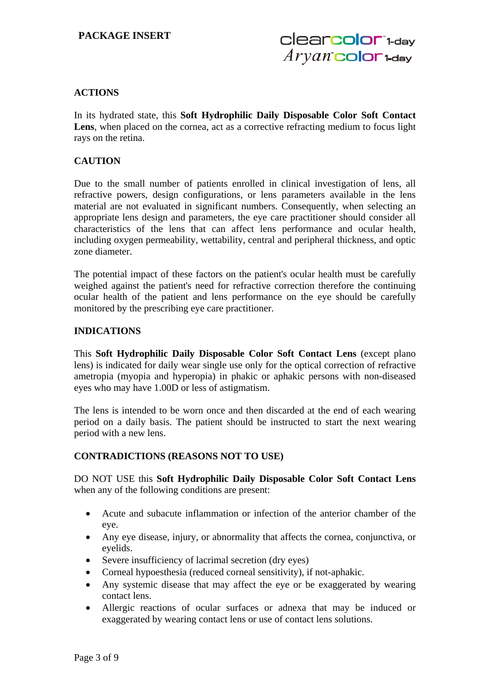# **ACTIONS**

In its hydrated state, this **Soft Hydrophilic Daily Disposable Color Soft Contact**  Lens, when placed on the cornea, act as a corrective refracting medium to focus light rays on the retina.

# **CAUTION**

Due to the small number of patients enrolled in clinical investigation of lens, all refractive powers, design configurations, or lens parameters available in the lens material are not evaluated in significant numbers. Consequently, when selecting an appropriate lens design and parameters, the eye care practitioner should consider all characteristics of the lens that can affect lens performance and ocular health, including oxygen permeability, wettability, central and peripheral thickness, and optic zone diameter.

The potential impact of these factors on the patient's ocular health must be carefully weighed against the patient's need for refractive correction therefore the continuing ocular health of the patient and lens performance on the eye should be carefully monitored by the prescribing eye care practitioner.

## **INDICATIONS**

This **Soft Hydrophilic Daily Disposable Color Soft Contact Lens** (except plano lens) is indicated for daily wear single use only for the optical correction of refractive ametropia (myopia and hyperopia) in phakic or aphakic persons with non-diseased eyes who may have 1.00D or less of astigmatism.

The lens is intended to be worn once and then discarded at the end of each wearing period on a daily basis. The patient should be instructed to start the next wearing period with a new lens.

## **CONTRADICTIONS (REASONS NOT TO USE)**

DO NOT USE this **Soft Hydrophilic Daily Disposable Color Soft Contact Lens** when any of the following conditions are present:

- Acute and subacute inflammation or infection of the anterior chamber of the eye.
- Any eye disease, injury, or abnormality that affects the cornea, conjunctiva, or eyelids.
- Severe insufficiency of lacrimal secretion (dry eyes)
- Corneal hypoesthesia (reduced corneal sensitivity), if not-aphakic.
- Any systemic disease that may affect the eye or be exaggerated by wearing contact lens.
- Allergic reactions of ocular surfaces or adnexa that may be induced or exaggerated by wearing contact lens or use of contact lens solutions.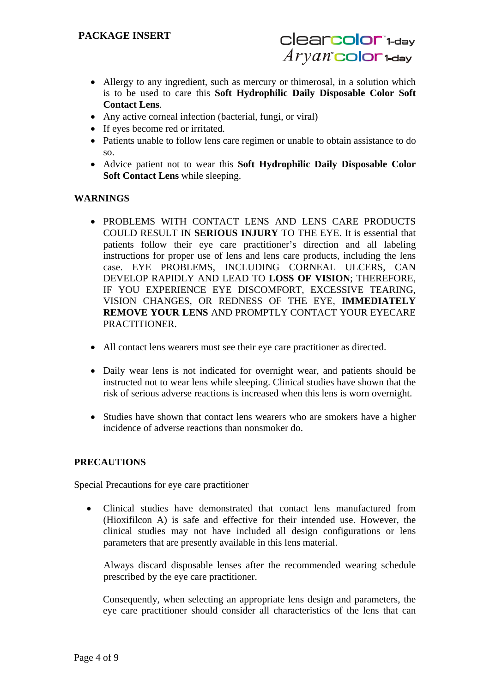- Allergy to any ingredient, such as mercury or thimerosal, in a solution which is to be used to care this **Soft Hydrophilic Daily Disposable Color Soft Contact Lens**.
- Any active corneal infection (bacterial, fungi, or viral)
- If eyes become red or irritated.
- Patients unable to follow lens care regimen or unable to obtain assistance to do so.
- Advice patient not to wear this **Soft Hydrophilic Daily Disposable Color Soft Contact Lens** while sleeping.

# **WARNINGS**

- PROBLEMS WITH CONTACT LENS AND LENS CARE PRODUCTS COULD RESULT IN **SERIOUS INJURY** TO THE EYE. It is essential that patients follow their eye care practitioner's direction and all labeling instructions for proper use of lens and lens care products, including the lens case. EYE PROBLEMS, INCLUDING CORNEAL ULCERS, CAN DEVELOP RAPIDLY AND LEAD TO **LOSS OF VISION**; THEREFORE, IF YOU EXPERIENCE EYE DISCOMFORT, EXCESSIVE TEARING, VISION CHANGES, OR REDNESS OF THE EYE, **IMMEDIATELY REMOVE YOUR LENS** AND PROMPTLY CONTACT YOUR EYECARE PRACTITIONER.
- All contact lens wearers must see their eye care practitioner as directed.
- Daily wear lens is not indicated for overnight wear, and patients should be instructed not to wear lens while sleeping. Clinical studies have shown that the risk of serious adverse reactions is increased when this lens is worn overnight.
- Studies have shown that contact lens wearers who are smokers have a higher incidence of adverse reactions than nonsmoker do.

# **PRECAUTIONS**

Special Precautions for eye care practitioner

 Clinical studies have demonstrated that contact lens manufactured from (Hioxifilcon A) is safe and effective for their intended use. However, the clinical studies may not have included all design configurations or lens parameters that are presently available in this lens material.

Always discard disposable lenses after the recommended wearing schedule prescribed by the eye care practitioner.

Consequently, when selecting an appropriate lens design and parameters, the eye care practitioner should consider all characteristics of the lens that can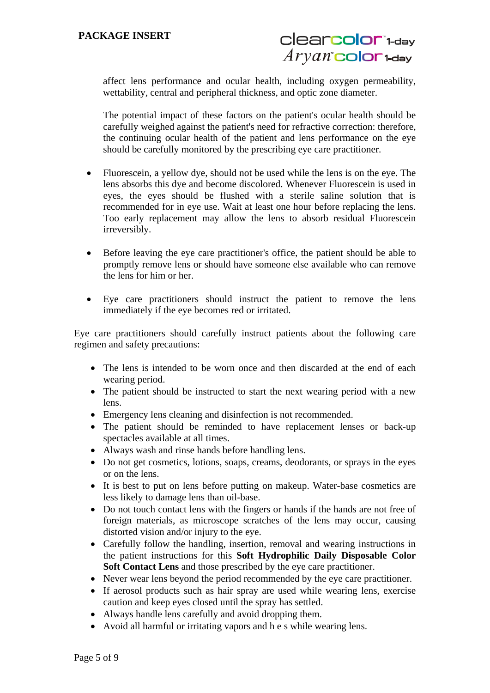affect lens performance and ocular health, including oxygen permeability, wettability, central and peripheral thickness, and optic zone diameter.

The potential impact of these factors on the patient's ocular health should be carefully weighed against the patient's need for refractive correction: therefore, the continuing ocular health of the patient and lens performance on the eye should be carefully monitored by the prescribing eye care practitioner.

- Fluorescein, a yellow dye, should not be used while the lens is on the eye. The lens absorbs this dye and become discolored. Whenever Fluorescein is used in eyes, the eyes should be flushed with a sterile saline solution that is recommended for in eye use. Wait at least one hour before replacing the lens. Too early replacement may allow the lens to absorb residual Fluorescein irreversibly.
- Before leaving the eye care practitioner's office, the patient should be able to promptly remove lens or should have someone else available who can remove the lens for him or her.
- Eye care practitioners should instruct the patient to remove the lens immediately if the eye becomes red or irritated.

Eye care practitioners should carefully instruct patients about the following care regimen and safety precautions:

- The lens is intended to be worn once and then discarded at the end of each wearing period.
- The patient should be instructed to start the next wearing period with a new lens.
- Emergency lens cleaning and disinfection is not recommended.
- The patient should be reminded to have replacement lenses or back-up spectacles available at all times.
- Always wash and rinse hands before handling lens.
- Do not get cosmetics, lotions, soaps, creams, deodorants, or sprays in the eyes or on the lens.
- It is best to put on lens before putting on makeup. Water-base cosmetics are less likely to damage lens than oil-base.
- Do not touch contact lens with the fingers or hands if the hands are not free of foreign materials, as microscope scratches of the lens may occur, causing distorted vision and/or injury to the eye.
- Carefully follow the handling, insertion, removal and wearing instructions in the patient instructions for this **Soft Hydrophilic Daily Disposable Color Soft Contact Lens** and those prescribed by the eye care practitioner.
- Never wear lens beyond the period recommended by the eye care practitioner.
- If aerosol products such as hair spray are used while wearing lens, exercise caution and keep eyes closed until the spray has settled.
- Always handle lens carefully and avoid dropping them.
- Avoid all harmful or irritating vapors and h e s while wearing lens.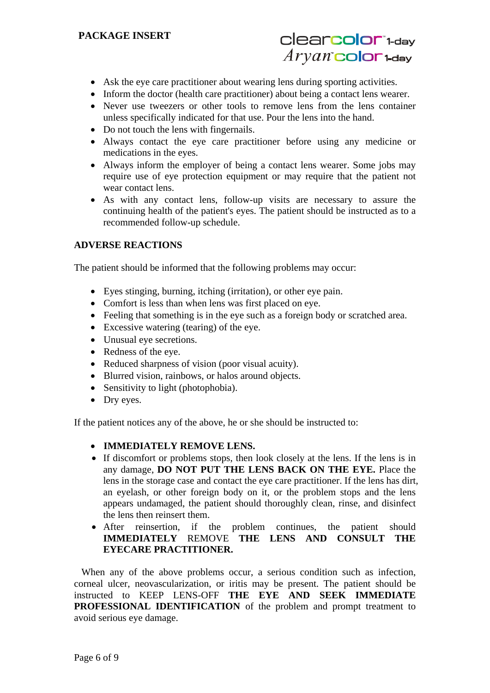# **PACKAGE INSERT**



- Ask the eye care practitioner about wearing lens during sporting activities.
- Inform the doctor (health care practitioner) about being a contact lens wearer.
- Never use tweezers or other tools to remove lens from the lens container unless specifically indicated for that use. Pour the lens into the hand.
- Do not touch the lens with fingernails.
- Always contact the eye care practitioner before using any medicine or medications in the eyes.
- Always inform the employer of being a contact lens wearer. Some jobs may require use of eye protection equipment or may require that the patient not wear contact lens.
- As with any contact lens, follow-up visits are necessary to assure the continuing health of the patient's eyes. The patient should be instructed as to a recommended follow-up schedule.

## **ADVERSE REACTIONS**

The patient should be informed that the following problems may occur:

- Eyes stinging, burning, itching (irritation), or other eye pain.
- Comfort is less than when lens was first placed on eye.
- Feeling that something is in the eye such as a foreign body or scratched area.
- Excessive watering (tearing) of the eye.
- Unusual eye secretions.
- Redness of the eye.
- Reduced sharpness of vision (poor visual acuity).
- Blurred vision, rainbows, or halos around objects.
- Sensitivity to light (photophobia).
- Dry eyes.

If the patient notices any of the above, he or she should be instructed to:

- **IMMEDIATELY REMOVE LENS.**
- If discomfort or problems stops, then look closely at the lens. If the lens is in any damage, **DO NOT PUT THE LENS BACK ON THE EYE.** Place the lens in the storage case and contact the eye care practitioner. If the lens has dirt, an eyelash, or other foreign body on it, or the problem stops and the lens appears undamaged, the patient should thoroughly clean, rinse, and disinfect the lens then reinsert them.
- After reinsertion, if the problem continues, the patient should **IMMEDIATELY** REMOVE **THE LENS AND CONSULT THE EYECARE PRACTITIONER.**

When any of the above problems occur, a serious condition such as infection, corneal ulcer, neovascularization, or iritis may be present. The patient should be instructed to KEEP LENS-OFF **THE EYE AND SEEK IMMEDIATE PROFESSIONAL IDENTIFICATION** of the problem and prompt treatment to avoid serious eye damage.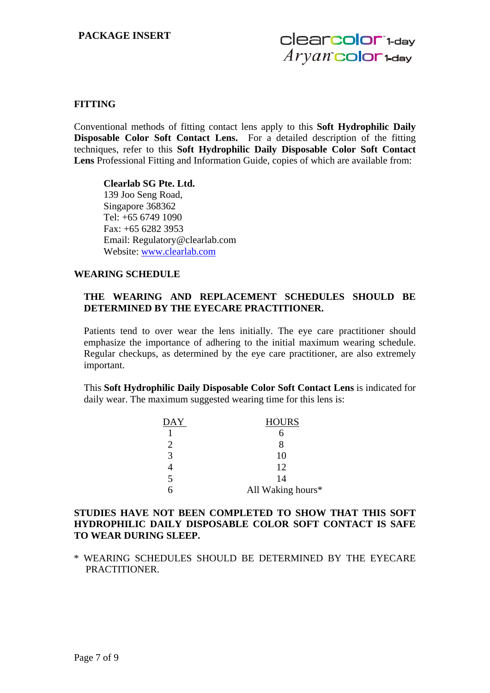## **FITTING**

Conventional methods of fitting contact lens apply to this **Soft Hydrophilic Daily Disposable Color Soft Contact Lens.** For a detailed description of the fitting techniques, refer to this **Soft Hydrophilic Daily Disposable Color Soft Contact Lens** Professional Fitting and Information Guide, copies of which are available from:

**Clearlab SG Pte. Ltd.**  139 Joo Seng Road, Singapore 368362 Tel: +65 6749 1090 Fax: +65 6282 3953 Email: Regulatory@clearlab.com Website: www.clearlab.com

#### **WEARING SCHEDULE**

## **THE WEARING AND REPLACEMENT SCHEDULES SHOULD BE DETERMINED BY THE EYECARE PRACTITIONER.**

Patients tend to over wear the lens initially. The eye care practitioner should emphasize the importance of adhering to the initial maximum wearing schedule. Regular checkups, as determined by the eye care practitioner, are also extremely important.

This **Soft Hydrophilic Daily Disposable Color Soft Contact Lens** is indicated for daily wear. The maximum suggested wearing time for this lens is:

| DAY | <b>HOURS</b>      |
|-----|-------------------|
|     |                   |
|     |                   |
| 3   | 10                |
|     | 12                |
| 5   | 14                |
|     | All Waking hours* |

## **STUDIES HAVE NOT BEEN COMPLETED TO SHOW THAT THIS SOFT HYDROPHILIC DAILY DISPOSABLE COLOR SOFT CONTACT IS SAFE TO WEAR DURING SLEEP.**

\* WEARING SCHEDULES SHOULD BE DETERMINED BY THE EYECARE PRACTITIONER.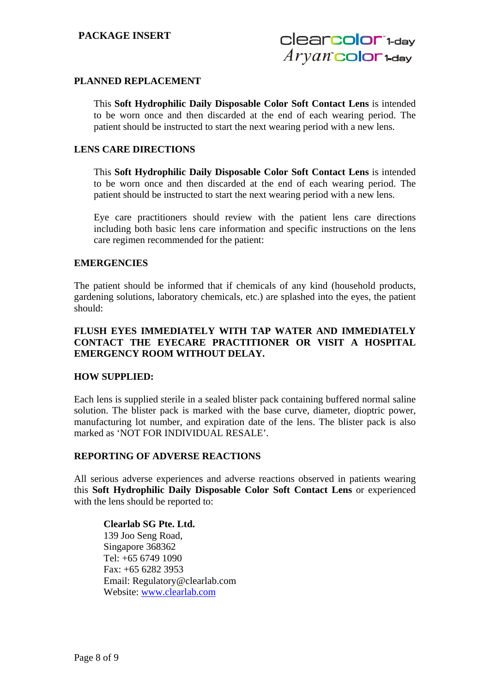# **PACKAGE INSERT**

# **PLANNED REPLACEMENT**

This **Soft Hydrophilic Daily Disposable Color Soft Contact Lens** is intended to be worn once and then discarded at the end of each wearing period. The patient should be instructed to start the next wearing period with a new lens.

## **LENS CARE DIRECTIONS**

This **Soft Hydrophilic Daily Disposable Color Soft Contact Lens** is intended to be worn once and then discarded at the end of each wearing period. The patient should be instructed to start the next wearing period with a new lens.

Eye care practitioners should review with the patient lens care directions including both basic lens care information and specific instructions on the lens care regimen recommended for the patient:

#### **EMERGENCIES**

The patient should be informed that if chemicals of any kind (household products, gardening solutions, laboratory chemicals, etc.) are splashed into the eyes, the patient should:

# **FLUSH EYES IMMEDIATELY WITH TAP WATER AND IMMEDIATELY CONTACT THE EYECARE PRACTITIONER OR VISIT A HOSPITAL EMERGENCY ROOM WITHOUT DELAY.**

## **HOW SUPPLIED:**

Each lens is supplied sterile in a sealed blister pack containing buffered normal saline solution. The blister pack is marked with the base curve, diameter, dioptric power, manufacturing lot number, and expiration date of the lens. The blister pack is also marked as 'NOT FOR INDIVIDUAL RESALE'.

## **REPORTING OF ADVERSE REACTIONS**

All serious adverse experiences and adverse reactions observed in patients wearing this **Soft Hydrophilic Daily Disposable Color Soft Contact Lens** or experienced with the lens should be reported to:

**Clearlab SG Pte. Ltd.**  139 Joo Seng Road, Singapore 368362 Tel: +65 6749 1090 Fax: +65 6282 3953 Email: Regulatory@clearlab.com Website: www.clearlab.com